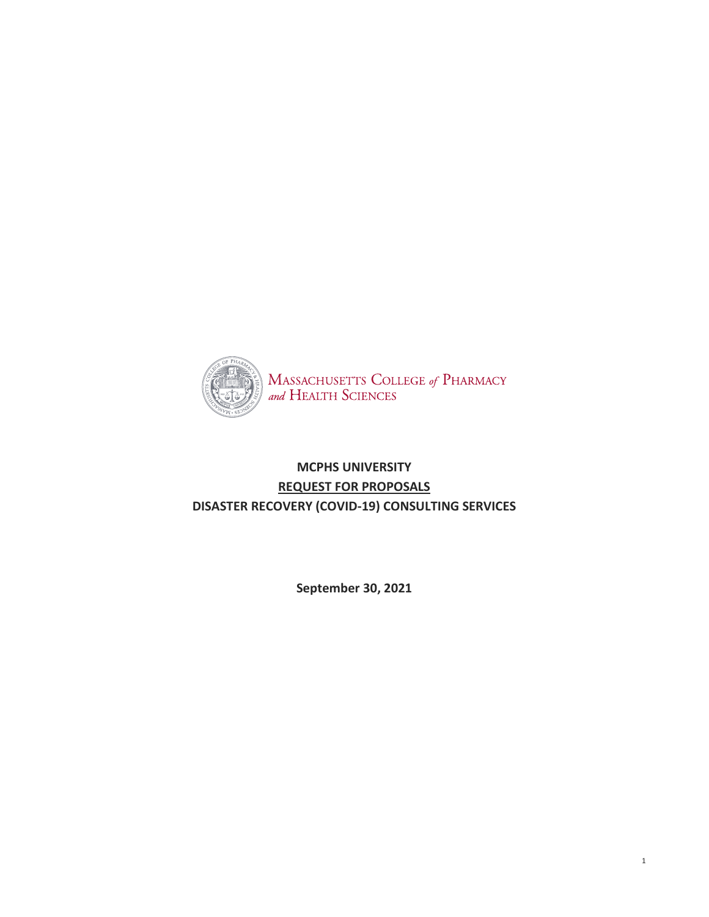

# **MCPHS UNIVERSITY REQUEST FOR PROPOSALS DISASTER RECOVERY (COVID-19) CONSULTING SERVICES**

**September 30, 2021**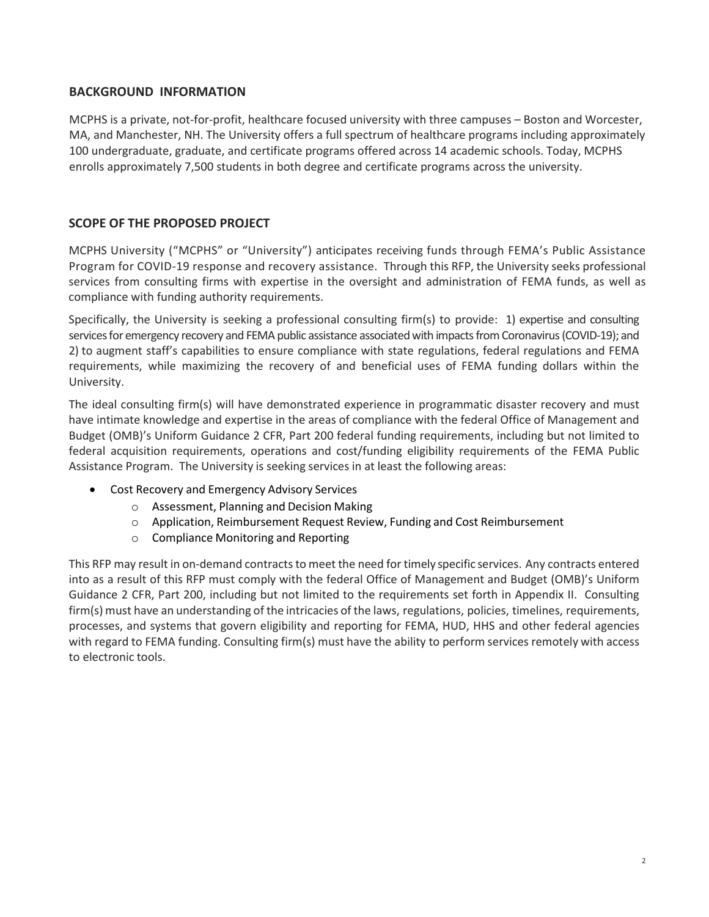### **BACKGROUND INFORMATION**

MCPHS is a private, not-for-profit, healthcare focused university with three campuses – Boston and Worcester, MA, and Manchester, NH. The University offers a full spectrum of healthcare programs including approximately 100 undergraduate, graduate, and certificate programs offered across 14 academic schools. Today, MCPHS enrolls approximately 7,500 students in both degree and certificate programs across the university.

## **SCOPE OF THE PROPOSED PROJECT**

MCPHS University ("MCPHS" or "University") anticipates receiving funds through FEMA's Public Assistance Program for COVID-19 response and recovery assistance. Through this RFP, the University seeks professional services from consulting firms with expertise in the oversight and administration of FEMA funds, as well as compliance with funding authority requirements.

Specifically, the University is seeking a professional consulting firm(s) to provide: 1) expertise and consulting services for emergency recovery and FEMA public assistance associated with impacts from Coronavirus (COVID-19); and 2) to augment staff's capabilities to ensure compliance with state regulations, federal regulations and FEMA requirements, while maximizing the recovery of and beneficial uses of FEMA funding dollars within the University.

The ideal consulting firm(s) will have demonstrated experience in programmatic disaster recovery and must have intimate knowledge and expertise in the areas of compliance with the federal Office of Management and Budget (OMB)'s Uniform Guidance 2 CFR, Part 200 federal funding requirements, including but not limited to federal acquisition requirements, operations and cost/funding eligibility requirements of the FEMA Public Assistance Program. The University is seeking services in at least the following areas:

- Cost Recovery and Emergency Advisory Services
	- o Assessment, Planning and Decision Making
	- o Application, Reimbursement Request Review, Funding and Cost Reimbursement
	- o Compliance Monitoring and Reporting

This RFP may result in on-demand contracts to meet the need for timely specific services. Any contracts entered into as a result of this RFP must comply with the federal Office of Management and Budget (OMB)'s Uniform Guidance 2 CFR, Part 200, including but not limited to the requirements set forth in Appendix II. Consulting firm(s) must have an understanding of the intricacies of the laws, regulations, policies, timelines, requirements, processes, and systems that govern eligibility and reporting for FEMA, HUD, HHS and other federal agencies with regard to FEMA funding. Consulting firm(s) must have the ability to perform services remotely with access to electronic tools.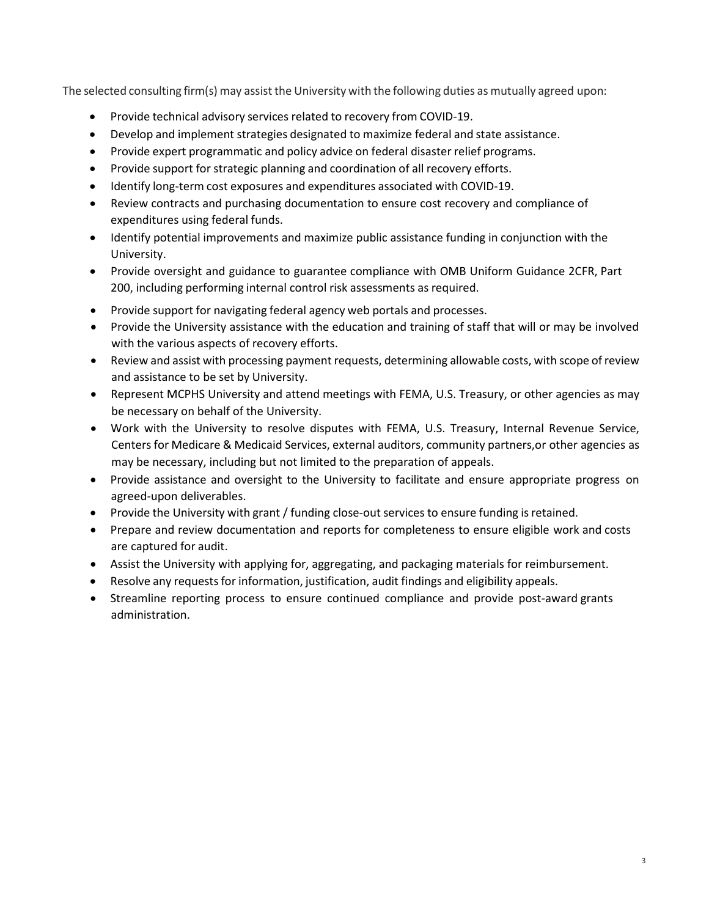The selected consulting firm(s) may assistthe University with the following duties as mutually agreed upon:

- Provide technical advisory services related to recovery from COVID-19.
- Develop and implement strategies designated to maximize federal and state assistance.
- Provide expert programmatic and policy advice on federal disaster relief programs.
- Provide support for strategic planning and coordination of all recovery efforts.
- Identify long-term cost exposures and expenditures associated with COVID-19.
- Review contracts and purchasing documentation to ensure cost recovery and compliance of expenditures using federal funds.
- Identify potential improvements and maximize public assistance funding in conjunction with the University.
- Provide oversight and guidance to guarantee compliance with OMB Uniform Guidance 2CFR, Part 200, including performing internal control risk assessments as required.
- Provide support for navigating federal agency web portals and processes.
- Provide the University assistance with the education and training of staff that will or may be involved with the various aspects of recovery efforts.
- Review and assist with processing payment requests, determining allowable costs, with scope ofreview and assistance to be set by University.
- Represent MCPHS University and attend meetings with FEMA, U.S. Treasury, or other agencies as may be necessary on behalf of the University.
- Work with the University to resolve disputes with FEMA, U.S. Treasury, Internal Revenue Service, Centers for Medicare & Medicaid Services, external auditors, community partners,or other agencies as may be necessary, including but not limited to the preparation of appeals.
- Provide assistance and oversight to the University to facilitate and ensure appropriate progress on agreed-upon deliverables.
- Provide the University with grant / funding close-out services to ensure funding isretained.
- Prepare and review documentation and reports for completeness to ensure eligible work and costs are captured for audit.
- Assist the University with applying for, aggregating, and packaging materials for reimbursement.
- Resolve any requests for information, justification, audit findings and eligibility appeals.
- Streamline reporting process to ensure continued compliance and provide post-award grants administration.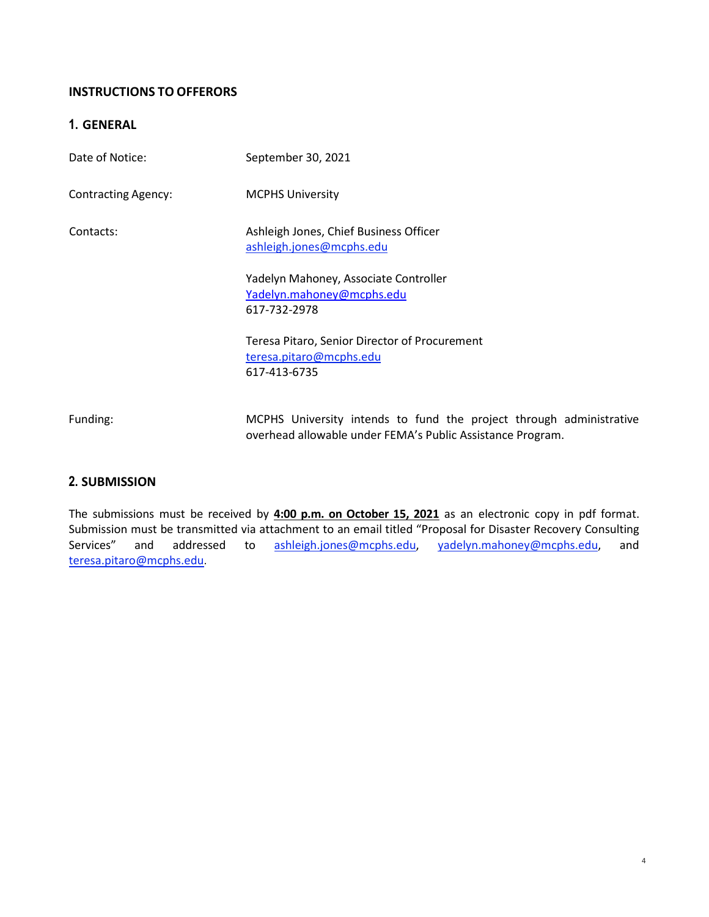## **INSTRUCTIONS TO OFFERORS**

## **1. GENERAL**

| Date of Notice:            | September 30, 2021                                                                                                                |
|----------------------------|-----------------------------------------------------------------------------------------------------------------------------------|
| <b>Contracting Agency:</b> | <b>MCPHS University</b>                                                                                                           |
| Contacts:                  | Ashleigh Jones, Chief Business Officer<br>ashleigh.jones@mcphs.edu                                                                |
|                            | Yadelyn Mahoney, Associate Controller<br>Yadelyn.mahoney@mcphs.edu<br>617-732-2978                                                |
|                            | Teresa Pitaro, Senior Director of Procurement<br>teresa.pitaro@mcphs.edu<br>617-413-6735                                          |
| Funding:                   | MCPHS University intends to fund the project through administrative<br>overhead allowable under FEMA's Public Assistance Program. |

### **2. SUBMISSION**

The submissions must be received by **4:00 p.m. on October 15, 2021** as an electronic copy in pdf format. Submission must be transmitted via attachment to an email titled "Proposal for Disaster Recovery Consulting Services" and addressed to [ashleigh.jones@mcphs.edu,](mailto:ashleigh.jones@mcphs.edu) [yadelyn.mahoney@mcphs.edu,](mailto:yadelyn.mahoney@mcphs.edu) and [teresa.pitaro@mcphs.edu](mailto:teresa.pitaro@mcphs.edu).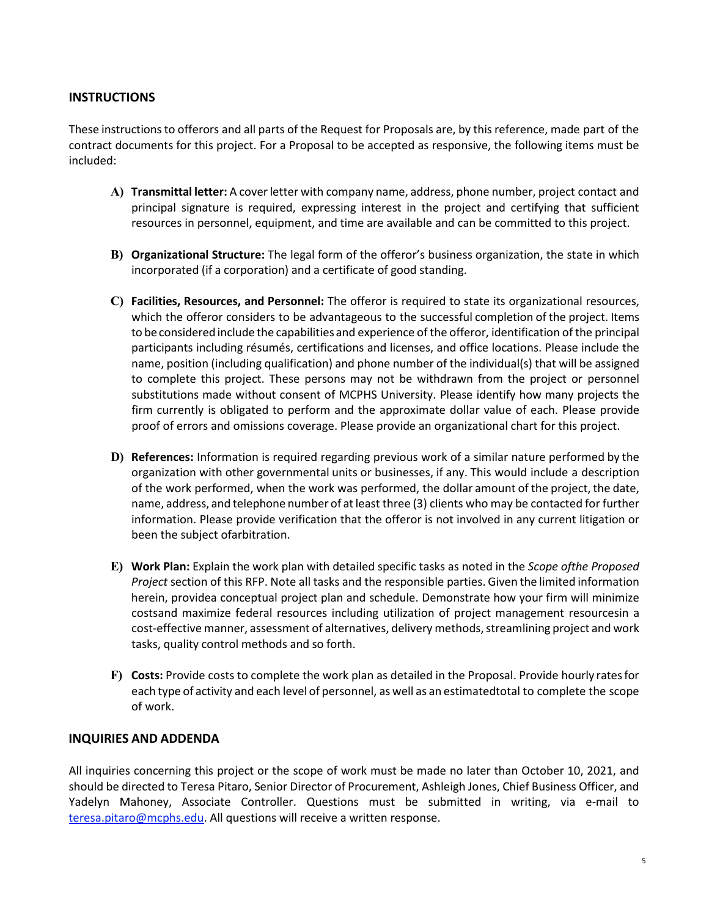#### **INSTRUCTIONS**

These instructionsto offerors and all parts of the Request for Proposals are, by this reference, made part of the contract documents for this project. For a Proposal to be accepted as responsive, the following items must be included:

- **A) Transmittal letter:** A coverletter with company name, address, phone number, project contact and principal signature is required, expressing interest in the project and certifying that sufficient resources in personnel, equipment, and time are available and can be committed to this project.
- **B) Organizational Structure:** The legal form of the offeror's business organization, the state in which incorporated (if a corporation) and a certificate of good standing.
- **C) Facilities, Resources, and Personnel:** The offeror is required to state its organizational resources, which the offeror considers to be advantageous to the successful completion of the project. Items to be considered include the capabilities and experience of the offeror, identification of the principal participants including résumés, certifications and licenses, and office locations. Please include the name, position (including qualification) and phone number of the individual(s) that will be assigned to complete this project. These persons may not be withdrawn from the project or personnel substitutions made without consent of MCPHS University. Please identify how many projects the firm currently is obligated to perform and the approximate dollar value of each. Please provide proof of errors and omissions coverage. Please provide an organizational chart for this project.
- **D) References:** Information is required regarding previous work of a similar nature performed by the organization with other governmental units or businesses, if any. This would include a description of the work performed, when the work was performed, the dollar amount of the project, the date, name, address, and telephone number of at least three (3) clients who may be contacted for further information. Please provide verification that the offeror is not involved in any current litigation or been the subject ofarbitration.
- **E) Work Plan:** Explain the work plan with detailed specific tasks as noted in the *Scope ofthe Proposed Project* section of this RFP. Note all tasks and the responsible parties. Given the limited information herein, providea conceptual project plan and schedule. Demonstrate how your firm will minimize costsand maximize federal resources including utilization of project management resourcesin a cost-effective manner, assessment of alternatives, delivery methods, streamlining project and work tasks, quality control methods and so forth.
- **F) Costs:** Provide costs to complete the work plan as detailed in the Proposal. Provide hourly ratesfor each type of activity and each level of personnel, as well as an estimatedtotal to complete the scope of work.

#### **INQUIRIES AND ADDENDA**

All inquiries concerning this project or the scope of work must be made no later than October 10, 2021, and should be directed to Teresa Pitaro, Senior Director of Procurement, Ashleigh Jones, Chief Business Officer, and Yadelyn Mahoney, Associate Controller. Questions must be submitted in writing, via e-mail to [teresa.pitaro@mcphs.edu.](mailto:teresa.pitaro@mcphs.edu) All questions will receive a written response.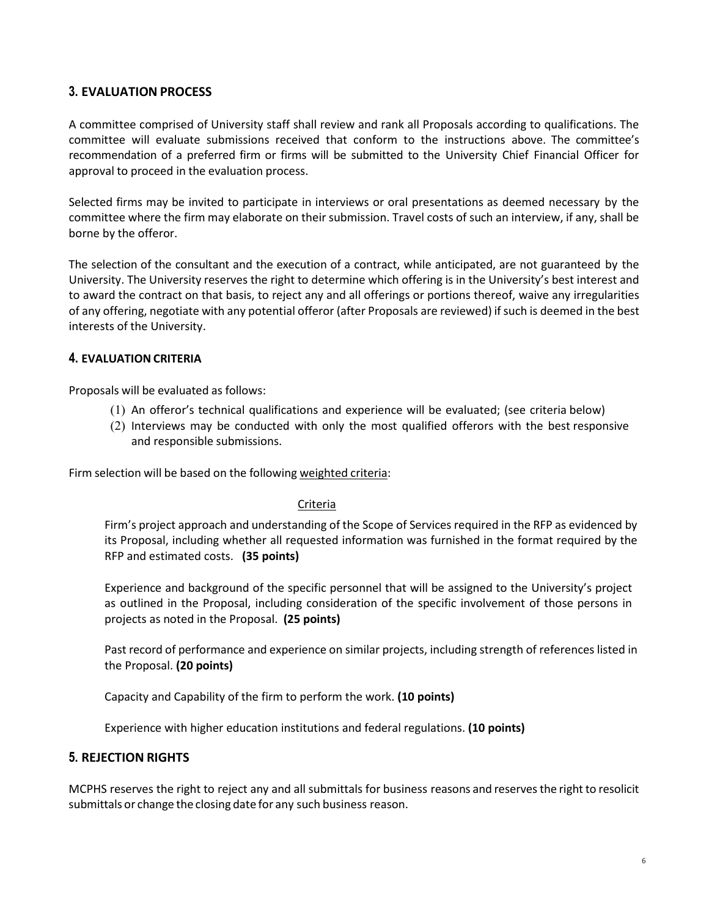## **3. EVALUATION PROCESS**

A committee comprised of University staff shall review and rank all Proposals according to qualifications. The committee will evaluate submissions received that conform to the instructions above. The committee's recommendation of a preferred firm or firms will be submitted to the University Chief Financial Officer for approval to proceed in the evaluation process.

Selected firms may be invited to participate in interviews or oral presentations as deemed necessary by the committee where the firm may elaborate on their submission. Travel costs of such an interview, if any, shall be borne by the offeror.

The selection of the consultant and the execution of a contract, while anticipated, are not guaranteed by the University. The University reserves the right to determine which offering is in the University's best interest and to award the contract on that basis, to reject any and all offerings or portions thereof, waive any irregularities of any offering, negotiate with any potential offeror (after Proposals are reviewed) if such is deemed in the best interests of the University.

#### **4. EVALUATION CRITERIA**

Proposals will be evaluated as follows:

- (1) An offeror's technical qualifications and experience will be evaluated; (see criteria below)
- (2) Interviews may be conducted with only the most qualified offerors with the best responsive and responsible submissions.

Firm selection will be based on the following weighted criteria:

#### Criteria

Firm's project approach and understanding of the Scope of Services required in the RFP as evidenced by its Proposal, including whether all requested information was furnished in the format required by the RFP and estimated costs. **(35 points)**

Experience and background of the specific personnel that will be assigned to the University's project as outlined in the Proposal, including consideration of the specific involvement of those persons in projects as noted in the Proposal. **(25 points)**

Past record of performance and experience on similar projects, including strength of references listed in the Proposal. **(20 points)**

Capacity and Capability of the firm to perform the work. **(10 points)**

Experience with higher education institutions and federal regulations. **(10 points)**

### **5. REJECTION RIGHTS**

MCPHS reserves the right to reject any and all submittals for business reasons and reservesthe right to resolicit submittals or change the closing date for any such business reason.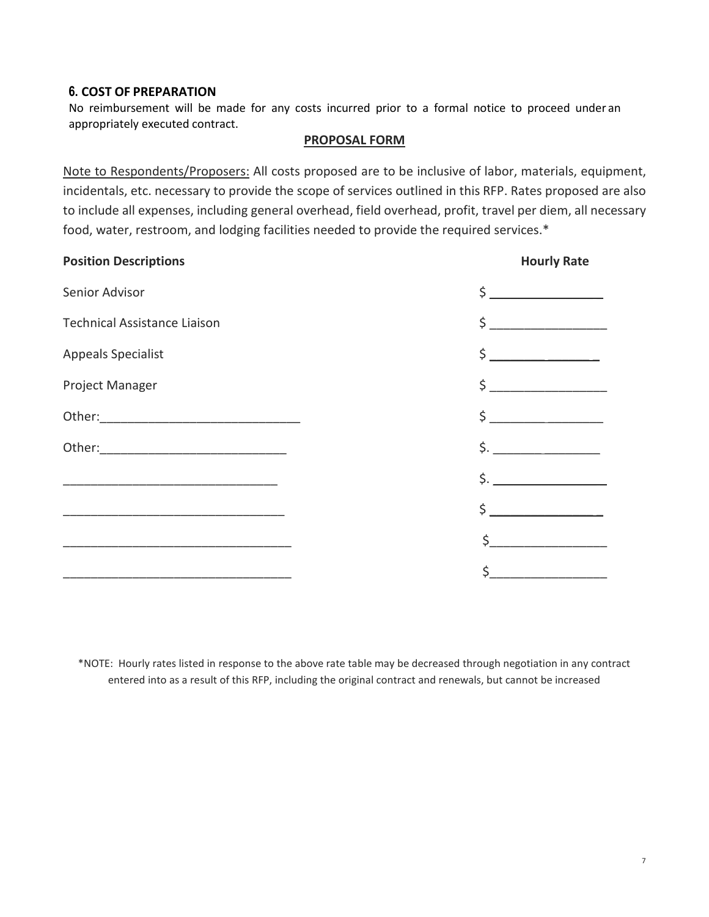#### **6. COST OF PREPARATION**

No reimbursement will be made for any costs incurred prior to a formal notice to proceed under an appropriately executed contract.

#### **PROPOSAL FORM**

Note to Respondents/Proposers: All costs proposed are to be inclusive of labor, materials, equipment, incidentals, etc. necessary to provide the scope of services outlined in this RFP. Rates proposed are also to include all expenses, including general overhead, field overhead, profit, travel per diem, all necessary food, water, restroom, and lodging facilities needed to provide the required services.\*

| <b>Position Descriptions</b>                                       | <b>Hourly Rate</b>                                       |
|--------------------------------------------------------------------|----------------------------------------------------------|
| Senior Advisor                                                     | $\frac{1}{2}$                                            |
| <b>Technical Assistance Liaison</b>                                | $\begin{array}{c c} \n\text{S} & \text{S} \n\end{array}$ |
| <b>Appeals Specialist</b>                                          | $\frac{1}{2}$                                            |
| Project Manager                                                    | $\zeta$                                                  |
|                                                                    | $\frac{1}{2}$                                            |
|                                                                    | $\frac{1}{2}$ .                                          |
|                                                                    | $\mathsf{S}$ .                                           |
|                                                                    | $\frac{1}{2}$                                            |
|                                                                    |                                                          |
| <u> 1980 - Johann John Stone, mensk politik fotograf (d. 1980)</u> | \$                                                       |

\*NOTE: Hourly rates listed in response to the above rate table may be decreased through negotiation in any contract entered into as a result of this RFP, including the original contract and renewals, but cannot be increased